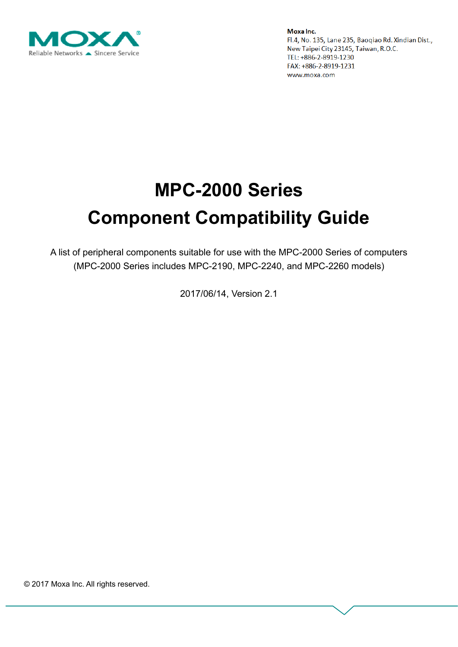

# **MPC-2000 Series Component Compatibility Guide**

A list of peripheral components suitable for use with the MPC-2000 Series of computers (MPC-2000 Series includes MPC-2190, MPC-2240, and MPC-2260 models)

2017/06/14, Version 2.1

© 2017 Moxa Inc. All rights reserved.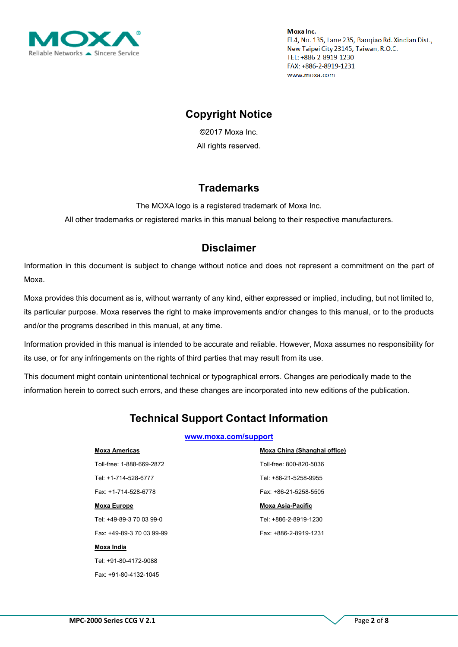

## **Copyright Notice**

©2017 Moxa Inc. All rights reserved.

### **Trademarks**

The MOXA logo is a registered trademark of Moxa Inc.

All other trademarks or registered marks in this manual belong to their respective manufacturers.

### **Disclaimer**

Information in this document is subject to change without notice and does not represent a commitment on the part of Moxa.

Moxa provides this document as is, without warranty of any kind, either expressed or implied, including, but not limited to, its particular purpose. Moxa reserves the right to make improvements and/or changes to this manual, or to the products and/or the programs described in this manual, at any time.

Information provided in this manual is intended to be accurate and reliable. However, Moxa assumes no responsibility for its use, or for any infringements on the rights of third parties that may result from its use.

This document might contain unintentional technical or typographical errors. Changes are periodically made to the information herein to correct such errors, and these changes are incorporated into new editions of the publication.

# **Technical Support Contact Information**

#### **[www.moxa.com/support](http://www.moxa.com/support)**

#### **Moxa Americas**

Toll-free: 1-888-669-2872 Tel: +1-714-528-6777 Fax: +1-714-528-6778

#### **Moxa Europe**

Tel: +49-89-3 70 03 99-0 Fax: +49-89-3 70 03 99-99

#### **Moxa India**

Tel: +91-80-4172-9088 Fax: +91-80-4132-1045 **Moxa China (Shanghai office)** Toll-free: 800-820-5036 Tel: +86-21-5258-9955 Fax: +86-21-5258-5505

#### **Moxa Asia-Pacific**

Tel: +886-2-8919-1230 Fax: +886-2-8919-1231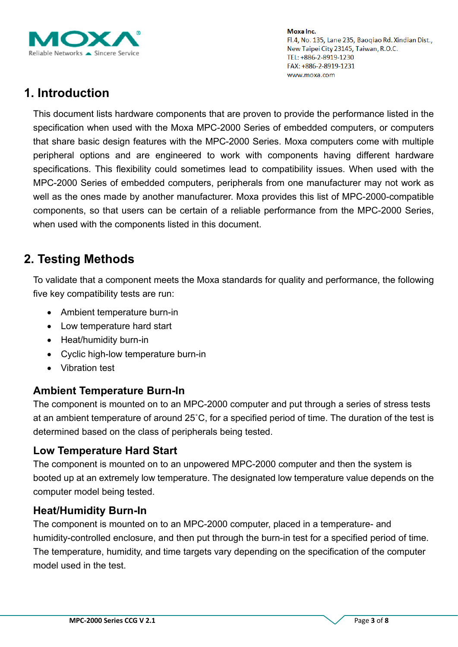

# **1. Introduction**

This document lists hardware components that are proven to provide the performance listed in the specification when used with the Moxa MPC-2000 Series of embedded computers, or computers that share basic design features with the MPC-2000 Series. Moxa computers come with multiple peripheral options and are engineered to work with components having different hardware specifications. This flexibility could sometimes lead to compatibility issues. When used with the MPC-2000 Series of embedded computers, peripherals from one manufacturer may not work as well as the ones made by another manufacturer. Moxa provides this list of MPC-2000-compatible components, so that users can be certain of a reliable performance from the MPC-2000 Series, when used with the components listed in this document.

# **2. Testing Methods**

To validate that a component meets the Moxa standards for quality and performance, the following five key compatibility tests are run:

- Ambient temperature burn-in
- Low temperature hard start
- Heat/humidity burn-in
- Cyclic high-low temperature burn-in
- Vibration test

### **Ambient Temperature Burn-In**

The component is mounted on to an MPC-2000 computer and put through a series of stress tests at an ambient temperature of around 25˚C, for a specified period of time. The duration of the test is determined based on the class of peripherals being tested.

### **Low Temperature Hard Start**

The component is mounted on to an unpowered MPC-2000 computer and then the system is booted up at an extremely low temperature. The designated low temperature value depends on the computer model being tested.

### **Heat/Humidity Burn-In**

The component is mounted on to an MPC-2000 computer, placed in a temperature- and humidity-controlled enclosure, and then put through the burn-in test for a specified period of time. The temperature, humidity, and time targets vary depending on the specification of the computer model used in the test.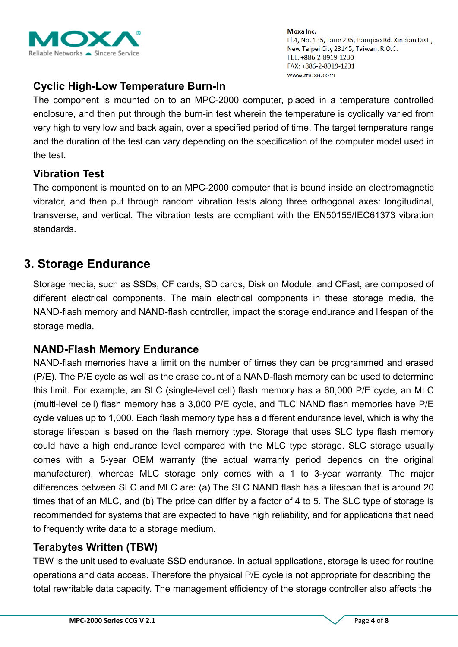

### **Cyclic High-Low Temperature Burn-In**

The component is mounted on to an MPC-2000 computer, placed in a temperature controlled enclosure, and then put through the burn-in test wherein the temperature is cyclically varied from very high to very low and back again, over a specified period of time. The target temperature range and the duration of the test can vary depending on the specification of the computer model used in the test.

### **Vibration Test**

The component is mounted on to an MPC-2000 computer that is bound inside an electromagnetic vibrator, and then put through random vibration tests along three orthogonal axes: longitudinal, transverse, and vertical. The vibration tests are compliant with the EN50155/IEC61373 vibration standards.

# **3. Storage Endurance**

Storage media, such as SSDs, CF cards, SD cards, Disk on Module, and CFast, are composed of different electrical components. The main electrical components in these storage media, the NAND-flash memory and NAND-flash controller, impact the storage endurance and lifespan of the storage media.

### **NAND-Flash Memory Endurance**

NAND-flash memories have a limit on the number of times they can be programmed and erased (P/E). The P/E cycle as well as the erase count of a NAND-flash memory can be used to determine this limit. For example, an SLC (single-level cell) flash memory has a 60,000 P/E cycle, an MLC (multi-level cell) flash memory has a 3,000 P/E cycle, and TLC NAND flash memories have P/E cycle values up to 1,000. Each flash memory type has a different endurance level, which is why the storage lifespan is based on the flash memory type. Storage that uses SLC type flash memory could have a high endurance level compared with the MLC type storage. SLC storage usually comes with a 5-year OEM warranty (the actual warranty period depends on the original manufacturer), whereas MLC storage only comes with a 1 to 3-year warranty. The major differences between SLC and MLC are: (a) The SLC NAND flash has a lifespan that is around 20 times that of an MLC, and (b) The price can differ by a factor of 4 to 5. The SLC type of storage is recommended for systems that are expected to have high reliability, and for applications that need to frequently write data to a storage medium.

### **Terabytes Written (TBW)**

TBW is the unit used to evaluate SSD endurance. In actual applications, storage is used for routine operations and data access. Therefore the physical P/E cycle is not appropriate for describing the total rewritable data capacity. The management efficiency of the storage controller also affects the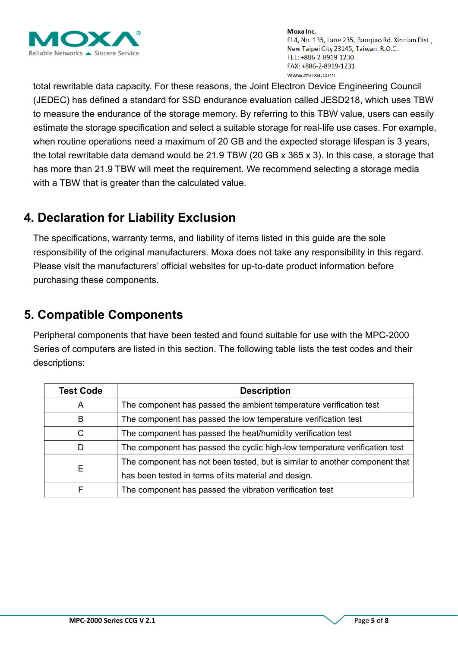

total rewritable data capacity. For these reasons, the Joint Electron Device Engineering Council (JEDEC) has defined a standard for SSD endurance evaluation called JESD218, which uses TBW to measure the endurance of the storage memory. By referring to this TBW value, users can easily estimate the storage specification and select a suitable storage for real-life use cases. For example, when routine operations need a maximum of 20 GB and the expected storage lifespan is 3 years, the total rewritable data demand would be 21.9 TBW (20 GB x 365 x 3). In this case, a storage that has more than 21.9 TBW will meet the requirement. We recommend selecting a storage media with a TBW that is greater than the calculated value.

# **4. Declaration for Liability Exclusion**

The specifications, warranty terms, and liability of items listed in this guide are the sole responsibility of the original manufacturers. Moxa does not take any responsibility in this regard. Please visit the manufacturers' official websites for up-to-date product information before purchasing these components.

# **5. Compatible Components**

Peripheral components that have been tested and found suitable for use with the MPC-2000 Series of computers are listed in this section. The following table lists the test codes and their descriptions:

| <b>Test Code</b> | <b>Description</b>                                                          |  |  |  |  |  |
|------------------|-----------------------------------------------------------------------------|--|--|--|--|--|
| A                | The component has passed the ambient temperature verification test          |  |  |  |  |  |
| B                | The component has passed the low temperature verification test              |  |  |  |  |  |
| C                | The component has passed the heat/humidity verification test                |  |  |  |  |  |
| D                | The component has passed the cyclic high-low temperature verification test  |  |  |  |  |  |
|                  | The component has not been tested, but is similar to another component that |  |  |  |  |  |
| Е                | has been tested in terms of its material and design.                        |  |  |  |  |  |
|                  | The component has passed the vibration verification test                    |  |  |  |  |  |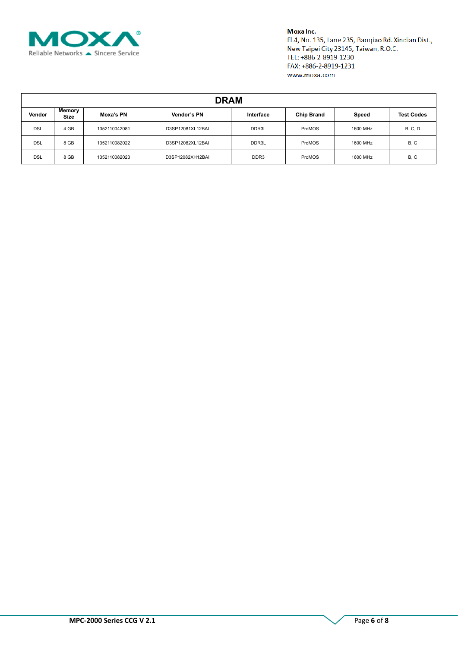

#### Moxa Inc.

Fl.4, No. 135, Lane 235, Baoqiao Rd. Xindian Dist., New Taipei City 23145, Taiwan, R.O.C. TEL: +886-2-8919-1230 FAX: +886-2-8919-1231 www.moxa.com

| <b>DRAM</b> |                |               |                  |                  |                   |          |                   |  |
|-------------|----------------|---------------|------------------|------------------|-------------------|----------|-------------------|--|
| Vendor      | Memory<br>Size | Moxa's PN     | Vendor's PN      | Interface        | <b>Chip Brand</b> | Speed    | <b>Test Codes</b> |  |
| <b>DSL</b>  | 4 GB           | 1352110042081 | D3SP12081XL12BAI | DDR3L            | ProMOS            | 1600 MHz | <b>B, C, D</b>    |  |
| <b>DSL</b>  | 8 GB           | 1352110082022 | D3SP12082XL12BAI | DDR3L            | ProMOS            | 1600 MHz | B, C              |  |
| <b>DSL</b>  | 8 GB           | 1352110082023 | D3SP12082XH12BAI | DDR <sub>3</sub> | ProMOS            | 1600 MHz | B, C              |  |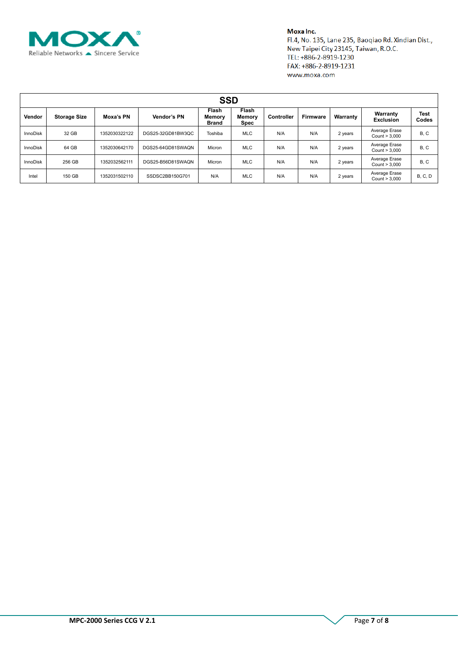

#### Moxa Inc.

Fl.4, No. 135, Lane 235, Baoqiao Rd. Xindian Dist., New Taipei City 23145, Taiwan, R.O.C. TEL: +886-2-8919-1230 FAX: +886-2-8919-1231 www.moxa.com

| <b>SSD</b>      |                     |               |                   |                          |                                       |            |                 |          |                                |                |
|-----------------|---------------------|---------------|-------------------|--------------------------|---------------------------------------|------------|-----------------|----------|--------------------------------|----------------|
| Vendor          | <b>Storage Size</b> | Moxa's PN     | Vendor's PN       | Flash<br>Memory<br>Brand | <b>Flash</b><br><b>Memory</b><br>Spec | Controller | <b>Firmware</b> | Warranty | Warranty<br><b>Exclusion</b>   | Test<br>Codes  |
| <b>InnoDisk</b> | 32 GB               | 1352030322122 | DGS25-32GD81BW3QC | Toshiba                  | <b>MLC</b>                            | N/A        | N/A             | 2 years  | Average Erase<br>Count > 3,000 | B, C           |
| <b>InnoDisk</b> | 64 GB               | 1352030642170 | DGS25-64GD81SWAQN | Micron                   | <b>MLC</b>                            | N/A        | N/A             | 2 years  | Average Erase<br>Count > 3,000 | B, C           |
| <b>InnoDisk</b> | 256 GB              | 1352032562111 | DGS25-B56D81SWAQN | Micron                   | <b>MLC</b>                            | N/A        | N/A             | 2 years  | Average Erase<br>Count > 3,000 | B, C           |
| Intel           | 150 GB              | 1352031502110 | SSDSC2BB150G701   | N/A                      | <b>MLC</b>                            | N/A        | N/A             | 2 years  | Average Erase<br>Count > 3,000 | <b>B. C. D</b> |